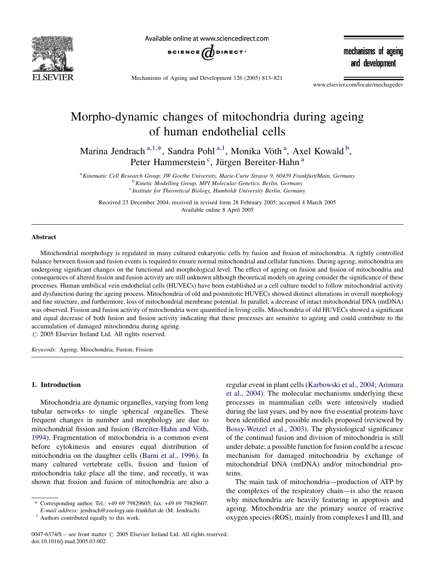

Available online at www.sciencedirect.com



Mechanisms of Ageing and Development 126 (2005) 813–821

mechanisms of ageing and development

www.elsevier.com/locate/mechagedev

# Morpho-dynamic changes of mitochondria during ageing of human endothelial cells

Marina Jendrach<sup>a, 1,\*</sup>, Sandra Pohl<sup>a, 1</sup>, Monika Vöth<sup>a</sup>, Axel Kowald<sup>b</sup>, Peter Hammerstein<sup>c</sup>, Jürgen Bereiter-Hahn<sup>a</sup>

<sup>a</sup> Kinematic Cell Research Group, JW Goethe University, Marie-Curie Strasse 9, 60439 Frankfurt/Main, Germany <sup>b</sup> Kinetic Modelling Group, MPI Molecular Genetics, Berlin, Germany

<sup>c</sup> Institute for Theoretical Biology, Humboldt University Berlin, Germany

Received 23 December 2004; received in revised form 28 February 2005; accepted 4 March 2005 Available online 8 April 2005

### Abstract

Mitochondrial morphology is regulated in many cultured eukaryotic cells by fusion and fission of mitochondria. A tightly controlled balance between fission and fusion events is required to ensure normal mitochondrial and cellular functions. During ageing, mitochondria are undergoing significant changes on the functional and morphological level. The effect of ageing on fusion and fission of mitochondria and consequences of altered fission and fusion activity are still unknown although theoretical models on ageing consider the significance of these processes. Human umbilical vein endothelial cells (HUVECs) have been established as a cell culture model to follow mitochondrial activity and dysfunction during the ageing process. Mitochondria of old and postmitotic HUVECs showed distinct alterations in overall morphology and fine structure, and furthermore, loss of mitochondrial membrane potential. In parallel, a decrease of intact mitochondrial DNA (mtDNA) was observed. Fission and fusion activity of mitochondria were quantified in living cells. Mitochondria of old HUVECs showed a significant and equal decrease of both fusion and fission activity indicating that these processes are sensitive to ageing and could contribute to the accumulation of damaged mitochondria during ageing.

 $\odot$  2005 Elsevier Ireland Ltd. All rights reserved.

Keywords: Ageing; Mitochondria; Fusion; Fission

#### 1. Introduction

Mitochondria are dynamic organelles, varying from long tubular networks to single spherical organelles. These frequent changes in number and morphology are due to mitochondrial fission and fusion (Bereiter-Hahn and Vöth, [1994](#page-7-0)). Fragmentation of mitochondria is a common event before cytokinesis and ensures equal distribution of mitochondria on the daughter cells [\(Barni et al., 1996](#page-7-0)). In many cultured vertebrate cells, fission and fusion of mitochondria take place all the time, and recently, it was shown that fission and fusion of mitochondria are also a

regular event in plant cells ([Karbowski et al., 2004; Arimura](#page-7-0) [et al., 2004](#page-7-0)). The molecular mechanisms underlying these processes in mammalian cells were intensively studied during the last years, and by now five essential proteins have been identified and possible models proposed (reviewed by [Bossy-Wetzel et al., 2003\)](#page-7-0). The physiological significance of the continual fusion and division of mitochondria is still under debate; a possible function for fusion could be a rescue mechanism for damaged mitochondria by exchange of mitochondrial DNA (mtDNA) and/or mitochondrial proteins.

The main task of mitochondria—production of ATP by the complexes of the respiratory chain—is also the reason why mitochondria are heavily featuring in apoptosis and ageing. Mitochondria are the primary source of reactive oxygen species (ROS), mainly from complexes I and III, and

<sup>\*</sup> Corresponding author. Tel.: +49 69 79829605; fax: +49 69 79829607. E-mail address: jendrach@zoology.uni-frankfurt.de (M. Jendrach). <sup>1</sup> Authors contributed equally to this work.

<sup>0047-6374/\$ –</sup> see front matter  $\odot$  2005 Elsevier Ireland Ltd. All rights reserved. doi:10.1016/j.mad.2005.03.002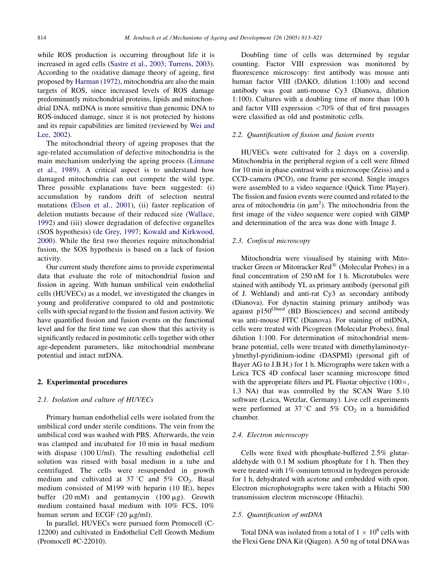while ROS production is occurring throughout life it is increased in aged cells ([Sastre et al., 2003; Turrens, 2003\)](#page-8-0). According to the oxidative damage theory of ageing, first proposed by [Harman \(1972\)](#page-7-0), mitochondria are also the main targets of ROS, since increased levels of ROS damage predominantly mitochondrial proteins, lipids and mitochondrial DNA. mtDNA is more sensitive than genomic DNA to ROS-induced damage, since it is not protected by histons and its repair capabilities are limited (reviewed by [Wei and](#page-8-0) [Lee, 2002](#page-8-0)).

The mitochondrial theory of ageing proposes that the age-related accumulation of defective mitochondria is the main mechanism underlying the ageing process [\(Linnane](#page-7-0) [et al., 1989](#page-7-0)). A critical aspect is to understand how damaged mitochondria can out compete the wild type. Three possible explanations have been suggested: (i) accumulation by random drift of selection neutral mutations [\(Elson et al., 2001\)](#page-7-0), (ii) faster replication of deletion mutants because of their reduced size [\(Wallace,](#page-8-0) [1992\)](#page-8-0) and (iii) slower degradation of defective organelles (SOS hypothesis) [\(de Grey, 1997; Kowald and Kirkwood,](#page-7-0) [2000\)](#page-7-0). While the first two theories require mitochondrial fusion, the SOS hypothesis is based on a lack of fusion activity.

Our current study therefore aims to provide experimental data that evaluate the role of mitochondrial fusion and fission in ageing. With human umbilical vein endothelial cells (HUVECs) as a model, we investigated the changes in young and proliferative compared to old and postmitotic cells with special regard to the fission and fusion activity. We have quantified fission and fusion events on the functional level and for the first time we can show that this activity is significantly reduced in postmitotic cells together with other age-dependent parameters, like mitochondrial membrane potential and intact mtDNA.

### 2. Experimental procedures

#### 2.1. Isolation and culture of HUVECs

Primary human endothelial cells were isolated from the umbilical cord under sterile conditions. The vein from the umbilical cord was washed with PBS. Afterwards, the vein was clamped and incubated for 10 min in basal medium with dispase (100 U/ml). The resulting endothelial cell solution was rinsed with basal medium in a tube and centrifuged. The cells were resuspended in growth medium and cultivated at 37 °C and 5%  $CO<sub>2</sub>$ . Basal medium consisted of M199 with heparin (10 IE), hepes buffer  $(20 \text{ mM})$  and gentamycin  $(100 \mu \text{g})$ . Growth medium contained basal medium with 10% FCS, 10% human serum and ECGF  $(20 \mu g/ml)$ .

In parallel, HUVECs were pursued form Promocell (C-12200) and cultivated in Endothelial Cell Growth Medium (Promocell #C-22010).

Doubling time of cells was determined by regular counting. Factor VIII expression was monitored by fluorescence microscopy: first antibody was mouse anti human factor VIII (DAKO, dilution 1:100) and second antibody was goat anti-mouse Cy3 (Dianova, dilution 1:100). Cultures with a doubling time of more than 100 h and factor VIII expression  $\langle 70\%$  of that of first passages were classified as old and postmitotic cells.

#### 2.2. Quantification of fission and fusion events

HUVECs were cultivated for 2 days on a coverslip. Mitochondria in the peripheral region of a cell were filmed for 10 min in phase contrast with a microscope (Zeiss) and a CCD-camera (PCO), one frame per second. Single images were assembled to a video sequence (Quick Time Player). The fission and fusion events were counted and related to the area of mitochondria (in  $\mu$ m<sup>2</sup>). The mitochondria from the first image of the video sequence were copied with GIMP and determination of the area was done with Image J.

### 2.3. Confocal microscopy

Mitochondria were visualised by staining with Mitotracker Green or Mitotracker Red<sup>®</sup> (Molecular Probes) in a final concentration of 250 nM for 1 h. Microtubules were stained with antibody YL as primary antibody (personal gift of J. Wehland) and anti-rat Cy3 as secondary antibody (Dianova). For dynactin staining primary antibody was against p150<sup>Glued</sup> (BD Biosciences) and second antibody was anti-mouse FITC (Dianova). For staining of mtDNA, cells were treated with Picogreen (Molecular Probes), final dilution 1:100. For determination of mitochondrial membrane potential, cells were treated with dimethylaminostyrylmethyl-pyridinium-iodine (DASPMI) (personal gift of Bayer AG to J.B.H.) for 1 h. Micrographs were taken with a Leica TCS 4D confocal laser scanning microscope fitted with the appropriate filters and PL Fluotar objective  $(100 \times,$ 1.3 NA) that was controlled by the SCAN Ware 5.10 software (Leica, Wetzlar, Germany). Live cell experiments were performed at 37 °C and 5%  $CO<sub>2</sub>$  in a humidified chamber.

#### 2.4. Electron microscopy

Cells were fixed with phosphate-buffered 2.5% glutaraldehyde with 0.1 M sodium phosphate for 1 h. Then they were treated with 1% osmium tetroxid in hydrogen peroxide for 1 h, dehydrated with acetone and embedded with epon. Electron microphotographs were taken with a Hitachi 500 transmission electron microscope (Hitachi).

## 2.5. Quantification of mtDNA

Total DNA was isolated from a total of  $1 \times 10^6$  cells with the Flexi Gene DNA Kit (Qiagen). A 50 ng of total DNAwas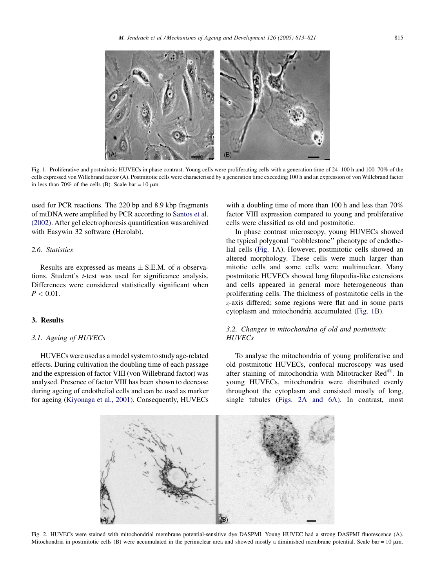<span id="page-2-0"></span>

Fig. 1. Proliferative and postmitotic HUVECs in phase contrast. Young cells were proliferating cells with a generation time of 24–100 h and 100–70% of the cells expressed von Willebrand factor (A). Postmitotic cells were characterised by a generation time exceeding 100 h and an expression of von Willebrand factor in less than 70% of the cells (B). Scale bar =  $10 \mu$ m.

used for PCR reactions. The 220 bp and 8.9 kbp fragments of mtDNA were amplified by PCR according to [Santos et al.](#page-7-0) [\(2002\)](#page-7-0). After gel electrophoresis quantification was archived with Easywin 32 software (Herolab).

## 2.6. Statistics

Results are expressed as means  $\pm$  S.E.M. of *n* observations. Student's t-test was used for significance analysis. Differences were considered statistically significant when  $P < 0.01$ .

#### 3. Results

#### 3.1. Ageing of HUVECs

HUVECs were used as a model system to study age-related effects. During cultivation the doubling time of each passage and the expression of factor VIII (von Willebrand factor) was analysed. Presence of factor VIII has been shown to decrease during ageing of endothelial cells and can be used as marker for ageing ([Kiyonaga et al., 2001\)](#page-7-0). Consequently, HUVECs

with a doubling time of more than 100 h and less than 70% factor VIII expression compared to young and proliferative cells were classified as old and postmitotic.

In phase contrast microscopy, young HUVECs showed the typical polygonal ''cobblestone'' phenotype of endothelial cells (Fig. 1A). However, postmitotic cells showed an altered morphology. These cells were much larger than mitotic cells and some cells were multinuclear. Many postmitotic HUVECs showed long filopodia-like extensions and cells appeared in general more heterogeneous than proliferating cells. The thickness of postmitotic cells in the z-axis differed; some regions were flat and in some parts cytoplasm and mitochondria accumulated (Fig. 1B).

# 3.2. Changes in mitochondria of old and postmitotic **HUVECs**

To analyse the mitochondria of young proliferative and old postmitotic HUVECs, confocal microscopy was used after staining of mitochondria with Mitotracker  $\text{Red}^{\textcircled{R}}$ . In young HUVECs, mitochondria were distributed evenly throughout the cytoplasm and consisted mostly of long, single tubules (Figs. 2A and 6A). In contrast, most



Fig. 2. HUVECs were stained with mitochondrial membrane potential-sensitive dye DASPMI. Young HUVEC had a strong DASPMI fluorescence (A). Mitochondria in postmitotic cells (B) were accumulated in the perinuclear area and showed mostly a diminished membrane potential. Scale bar =  $10 \mu m$ .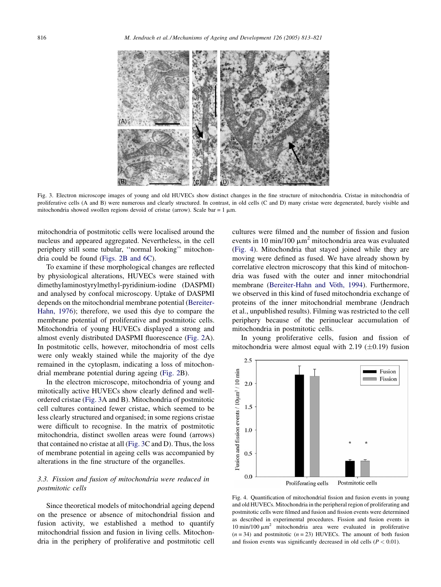<span id="page-3-0"></span>

Fig. 3. Electron microscope images of young and old HUVECs show distinct changes in the fine structure of mitochondria. Cristae in mitochondria of proliferative cells (A and B) were numerous and clearly structured. In contrast, in old cells (C and D) many cristae were degenerated, barely visible and mitochondria showed swollen regions devoid of cristae (arrow). Scale bar =  $1 \mu$ m.

mitochondria of postmitotic cells were localised around the nucleus and appeared aggregated. Nevertheless, in the cell periphery still some tubular, ''normal looking'' mitochondria could be found ([Figs. 2B and 6C](#page-2-0)).

To examine if these morphological changes are reflected by physiological alterations, HUVECs were stained with dimethylaminostyrylmethyl-pyridinium-iodine (DASPMI) and analysed by confocal microscopy. Uptake of DASPMI depends on the mitochondrial membrane potential [\(Bereiter-](#page-7-0)[Hahn, 1976\)](#page-7-0); therefore, we used this dye to compare the membrane potential of proliferative and postmitotic cells. Mitochondria of young HUVECs displayed a strong and almost evenly distributed DASPMI fluorescence ([Fig. 2A](#page-2-0)). In postmitotic cells, however, mitochondria of most cells were only weakly stained while the majority of the dye remained in the cytoplasm, indicating a loss of mitochondrial membrane potential during ageing [\(Fig. 2](#page-2-0)B).

In the electron microscope, mitochondria of young and mitotically active HUVECs show clearly defined and wellordered cristae (Fig. 3A and B). Mitochondria of postmitotic cell cultures contained fewer cristae, which seemed to be less clearly structured and organised; in some regions cristae were difficult to recognise. In the matrix of postmitotic mitochondria, distinct swollen areas were found (arrows) that contained no cristae at all (Fig. 3C and D). Thus, the loss of membrane potential in ageing cells was accompanied by alterations in the fine structure of the organelles.

## 3.3. Fission and fusion of mitochondria were reduced in postmitotic cells

Since theoretical models of mitochondrial ageing depend on the presence or absence of mitochondrial fission and fusion activity, we established a method to quantify mitochondrial fission and fusion in living cells. Mitochondria in the periphery of proliferative and postmitotic cell cultures were filmed and the number of fission and fusion events in 10 min/100  $\mu$ m<sup>2</sup> mitochondria area was evaluated (Fig. 4). Mitochondria that stayed joined while they are moving were defined as fused. We have already shown by correlative electron microscopy that this kind of mitochondria was fused with the outer and inner mitochondrial membrane (Bereiter-Hahn and Vöth, 1994). Furthermore, we observed in this kind of fused mitochondria exchange of proteins of the inner mitochondrial membrane (Jendrach et al., unpublished results). Filming was restricted to the cell periphery because of the perinuclear accumulation of mitochondria in postmitotic cells.

In young proliferative cells, fusion and fission of mitochondria were almost equal with  $2.19$  ( $\pm$ 0.19) fusion



Fig. 4. Quantification of mitochondrial fission and fusion events in young and old HUVECs. Mitochondria in the peripheral region of proliferating and postmitotic cells were filmed and fusion and fission events were determined as described in experimental procedures. Fission and fusion events in  $10 \text{ min}/100 \mu m^2$  mitochondria area were evaluated in proliferative  $(n = 34)$  and postmitotic  $(n = 23)$  HUVECs. The amount of both fusion and fission events was significantly decreased in old cells ( $P < 0.01$ ).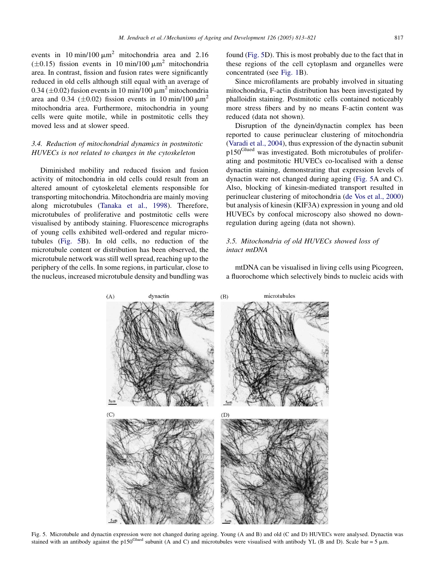events in 10 min/100  $\mu$ m<sup>2</sup> mitochondria area and 2.16  $(\pm 0.15)$  fission events in 10 min/100  $\mu$ m<sup>2</sup> mitochondria area. In contrast, fission and fusion rates were significantly reduced in old cells although still equal with an average of 0.34 ( $\pm$ 0.02) fusion events in 10 min/100  $\mu$ m<sup>2</sup> mitochondria area and 0.34 ( $\pm$ 0.02) fission events in 10 min/100  $\mu$ m<sup>2</sup> mitochondria area. Furthermore, mitochondria in young cells were quite motile, while in postmitotic cells they moved less and at slower speed.

## 3.4. Reduction of mitochondrial dynamics in postmitotic HUVECs is not related to changes in the cytoskeleton

Diminished mobility and reduced fission and fusion activity of mitochondria in old cells could result from an altered amount of cytoskeletal elements responsible for transporting mitochondria. Mitochondria are mainly moving along microtubules [\(Tanaka et al., 1998](#page-8-0)). Therefore, microtubules of proliferative and postmitotic cells were visualised by antibody staining. Fluorescence micrographs of young cells exhibited well-ordered and regular microtubules (Fig. 5B). In old cells, no reduction of the microtubule content or distribution has been observed, the microtubule network was still well spread, reaching up to the periphery of the cells. In some regions, in particular, close to the nucleus, increased microtubule density and bundling was found (Fig. 5D). This is most probably due to the fact that in these regions of the cell cytoplasm and organelles were concentrated (see [Fig. 1B](#page-2-0)).

Since microfilaments are probably involved in situating mitochondria, F-actin distribution has been investigated by phalloidin staining. Postmitotic cells contained noticeably more stress fibers and by no means F-actin content was reduced (data not shown).

Disruption of the dynein/dynactin complex has been reported to cause perinuclear clustering of mitochondria ([Varadi et al., 2004](#page-8-0)), thus expression of the dynactin subunit p150Glued was investigated. Both microtubules of proliferating and postmitotic HUVECs co-localised with a dense dynactin staining, demonstrating that expression levels of dynactin were not changed during ageing (Fig. 5A and C). Also, blocking of kinesin-mediated transport resulted in perinuclear clustering of mitochondria [\(de Vos et al., 2000](#page-7-0)) but analysis of kinesin (KIF3A) expression in young and old HUVECs by confocal microscopy also showed no downregulation during ageing (data not shown).

# 3.5. Mitochondria of old HUVECs showed loss of intact mtDNA

mtDNA can be visualised in living cells using Picogreen, a fluorochome which selectively binds to nucleic acids with



Fig. 5. Microtubule and dynactin expression were not changed during ageing. Young (A and B) and old (C and D) HUVECs were analysed. Dynactin was stained with an antibody against the p150<sup>Glued</sup> subunit (A and C) and microtubules were visualised with antibody YL (B and D). Scale bar = 5  $\mu$ m.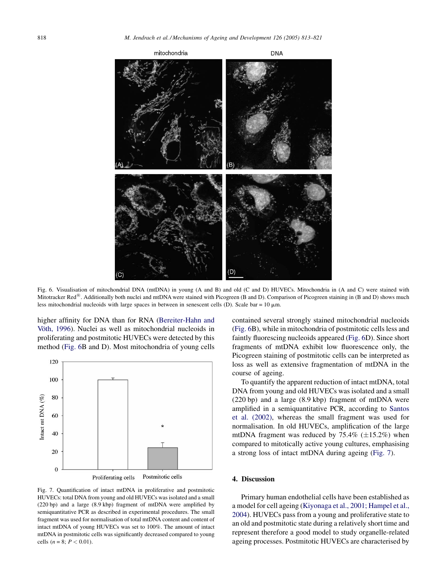

Fig. 6. Visualisation of mitochondrial DNA (mtDNA) in young (A and B) and old (C and D) HUVECs. Mitochondria in (A and C) were stained with Mitotracker Red<sup>®</sup>. Additionally both nuclei and mtDNA were stained with Picogreen (B and D). Comparison of Picogreen staining in (B and D) shows much less mitochondrial nucleoids with large spaces in between in senescent cells (D). Scale bar =  $10 \mu$ m.

higher affinity for DNA than for RNA ([Bereiter-Hahn and](#page-7-0) Vöth, 1996). Nuclei as well as mitochondrial nucleoids in proliferating and postmitotic HUVECs were detected by this method (Fig. 6B and D). Most mitochondria of young cells



Fig. 7. Quantification of intact mtDNA in proliferative and postmitotic HUVECs: total DNA from young and old HUVECs was isolated and a small (220 bp) and a large (8.9 kbp) fragment of mtDNA were amplified by semiquantitative PCR as described in experimental procedures. The small fragment was used for normalisation of total mtDNA content and content of intact mtDNA of young HUVECs was set to 100%. The amount of intact mtDNA in postmitotic cells was significantly decreased compared to young cells ( $n = 8$ ;  $P < 0.01$ ).

contained several strongly stained mitochondrial nucleoids (Fig. 6B), while in mitochondria of postmitotic cells less and faintly fluorescing nucleoids appeared (Fig. 6D). Since short fragments of mtDNA exhibit low fluorescence only, the Picogreen staining of postmitotic cells can be interpreted as loss as well as extensive fragmentation of mtDNA in the course of ageing.

To quantify the apparent reduction of intact mtDNA, total DNA from young and old HUVECs was isolated and a small (220 bp) and a large (8.9 kbp) fragment of mtDNA were amplified in a semiquantitative PCR, according to [Santos](#page-7-0) [et al. \(2002\)](#page-7-0), whereas the small fragment was used for normalisation. In old HUVECs, amplification of the large mtDNA fragment was reduced by  $75.4\%$  ( $\pm 15.2\%$ ) when compared to mitotically active young cultures, emphasising a strong loss of intact mtDNA during ageing (Fig. 7).

#### 4. Discussion

Primary human endothelial cells have been established as a model for cell ageing ([Kiyonaga et al., 2001; Hampel et al.,](#page-7-0) [2004\)](#page-7-0). HUVECs pass from a young and proliferative state to an old and postmitotic state during a relatively short time and represent therefore a good model to study organelle-related ageing processes. Postmitotic HUVECs are characterised by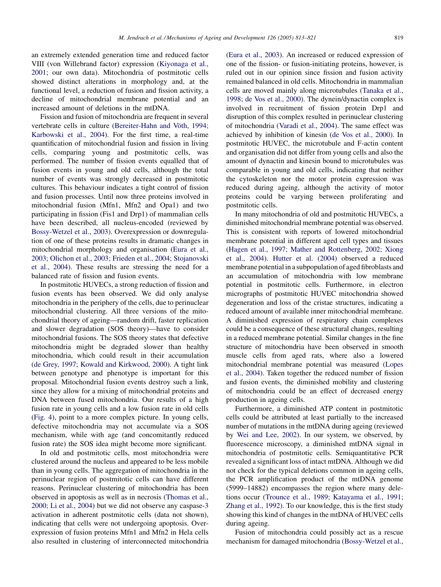an extremely extended generation time and reduced factor VIII (von Willebrand factor) expression [\(Kiyonaga et al.,](#page-7-0) [2001](#page-7-0); our own data). Mitochondria of postmitotic cells showed distinct alterations in morphology and, at the functional level, a reduction of fusion and fission activity, a decline of mitochondrial membrane potential and an increased amount of deletions in the mtDNA.

Fission and fusion of mitochondria are frequent in several vertebrate cells in culture (Bereiter-Hahn and Vöth, 1994; [Karbowski et al., 2004](#page-7-0)). For the first time, a real-time quantification of mitochondrial fusion and fission in living cells, comparing young and postmitotic cells, was performed. The number of fission events equalled that of fusion events in young and old cells, although the total number of events was strongly decreased in postmitotic cultures. This behaviour indicates a tight control of fission and fusion processes. Until now three proteins involved in mitochondrial fusion (Mfn1, Mfn2 and Opa1) and two participating in fission (Fis1 and Drp1) of mammalian cells have been described, all nucleus-encoded (reviewed by [Bossy-Wetzel et al., 2003](#page-7-0)). Overexpression or downregulation of one of these proteins results in dramatic changes in mitochondrial morphology and organisation ([Eura et al.,](#page-7-0) [2003; Olichon et al., 2003; Frieden et al., 2004; Stojanovski](#page-7-0) [et al., 2004\)](#page-7-0). These results are stressing the need for a balanced rate of fission and fusion events.

In postmitotic HUVECs, a strong reduction of fission and fusion events has been observed. We did only analyse mitochondria in the periphery of the cells, due to perinuclear mitochondrial clustering. All three versions of the mitochondrial theory of ageing—random drift, faster replication and slower degradation (SOS theory)—have to consider mitochondrial fusions. The SOS theory states that defective mitochondria might be degraded slower than healthy mitochondria, which could result in their accumulation ([de Grey, 1997; Kowald and Kirkwood, 2000\)](#page-7-0). A tight link between genotype and phenotype is important for this proposal. Mitochondrial fusion events destroy such a link, since they allow for a mixing of mitochondrial proteins and DNA between fused mitochondria. Our results of a high fusion rate in young cells and a low fusion rate in old cells ([Fig. 4](#page-3-0)), point to a more complex picture. In young cells, defective mitochondria may not accumulate via a SOS mechanism, while with age (and concomitantly reduced fusion rate) the SOS idea might become more significant.

In old and postmitotic cells, most mitochondria were clustered around the nucleus and appeared to be less mobile than in young cells. The aggregation of mitochondria in the perinuclear region of postmitotic cells can have different reasons. Perinuclear clustering of mitochondria has been observed in apoptosis as well as in necrosis [\(Thomas et al.,](#page-8-0) [2000; Li et al., 2004\)](#page-8-0) but we did not observe any caspase-3 activation in adherent postmitotic cells (data not shown), indicating that cells were not undergoing apoptosis. Overexpression of fusion proteins Mfn1 and Mfn2 in Hela cells also resulted in clustering of interconnected mitochondria ([Eura et al., 2003](#page-7-0)). An increased or reduced expression of one of the fission- or fusion-initiating proteins, however, is ruled out in our opinion since fission and fusion activity remained balanced in old cells. Mitochondria in mammalian cells are moved mainly along microtubules [\(Tanaka et al.,](#page-8-0) [1998; de Vos et al., 2000](#page-8-0)). The dynein/dynactin complex is involved in recruitment of fission protein Drp1 and disruption of this complex resulted in perinuclear clustering of mitochondria ([Varadi et al., 2004\)](#page-8-0). The same effect was achieved by inhibition of kinesin ([de Vos et al., 2000\)](#page-7-0). In postmitotic HUVEC, the microtubule and F-actin content and organisation did not differ from young cells and also the amount of dynactin and kinesin bound to microtubules was comparable in young and old cells, indicating that neither the cytoskeleton nor the motor protein expression was reduced during ageing, although the activity of motor proteins could be varying between proliferating and postmitotic cells.

In many mitochondria of old and postmitotic HUVECs, a diminished mitochondrial membrane potential was observed. This is consistent with reports of lowered mitochondrial membrane potential in different aged cell types and tissues ([Hagen et al., 1997; Mather and Rottenberg, 2002; Xiong](#page-7-0) [et al., 2004\)](#page-7-0). [Hutter et al. \(2004\)](#page-7-0) observed a reduced membrane potential in a subpopulation of aged fibroblasts and an accumulation of mitochondria with low membrane potential in postmitotic cells. Furthermore, in electron micrographs of postmitotic HUVEC mitochondria showed degeneration and loss of the cristae structures, indicating a reduced amount of available inner mitochondrial membrane. A diminished expression of respiratory chain complexes could be a consequence of these structural changes, resulting in a reduced membrane potential. Similar changes in the fine structure of mitochondria have been observed in smooth muscle cells from aged rats, where also a lowered mitochondrial membrane potential was measured [\(Lopes](#page-7-0) [et al., 2004](#page-7-0)). Taken together the reduced number of fission and fusion events, the diminished mobility and clustering of mitochondria could be an effect of decreased energy production in ageing cells.

Furthermore, a diminished ATP content in postmitotic cells could be attributed at least partially to the increased number of mutations in the mtDNA during ageing (reviewed by [Wei and Lee, 2002\)](#page-8-0). In our system, we observed, by fluorescence microscopy, a diminished mtDNA signal in mitochondria of postmitotic cells. Semiquantitative PCR revealed a significant loss of intact mtDNA. Although we did not check for the typical deletions common in ageing cells, the PCR amplification product of the mtDNA genome (5999–14882) encompasses the region where many deletions occur [\(Trounce et al., 1989; Katayama et al., 1991;](#page-8-0) [Zhang et al., 1992](#page-8-0)). To our knowledge, this is the first study showing this kind of changes in the mtDNA of HUVEC cells during ageing.

Fusion of mitochondria could possibly act as a rescue mechanism for damaged mitochondria [\(Bossy-Wetzel et al.,](#page-7-0)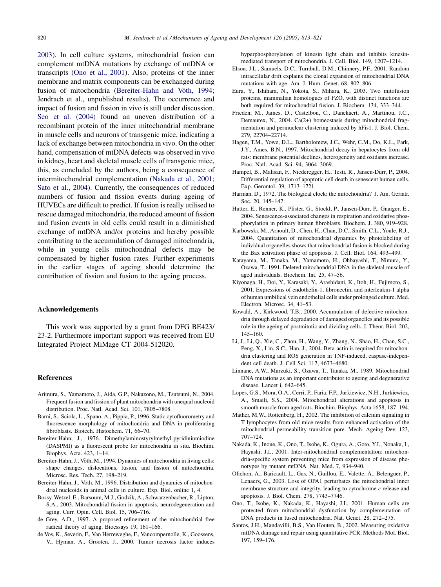<span id="page-7-0"></span>2003). In cell culture systems, mitochondrial fusion can complement mtDNA mutations by exchange of mtDNA or transcripts (Ono et al., 2001). Also, proteins of the inner membrane and matrix components can be exchanged during fusion of mitochondria (Bereiter-Hahn and Vöth, 1994; Jendrach et al., unpublished results). The occurrence and impact of fusion and fission in vivo is still under discussion. [Seo et al. \(2004\)](#page-8-0) found an uneven distribution of a recombinant protein of the inner mitochondrial membrane in muscle cells and neurons of transgenic mice, indicating a lack of exchange between mitochondria in vivo. On the other hand, compensation of mtDNA defects was observed in vivo in kidney, heart and skeletal muscle cells of transgenic mice, this, as concluded by the authors, being a consequence of intermitochondrial complementation (Nakada et al., 2001; Sato et al., 2004). Currently, the consequences of reduced numbers of fusion and fission events during ageing of HUVECs are difficult to predict. If fusion is really utilised to rescue damaged mitochondria, the reduced amount of fission and fusion events in old cells could result in a diminished exchange of mtDNA and/or proteins and hereby possible contributing to the accumulation of damaged mitochondria, while in young cells mitochondrial defects may be compensated by higher fusion rates. Further experiments in the earlier stages of ageing should determine the contribution of fission and fusion to the ageing process.

#### Acknowledgements

This work was supported by a grant from DFG BE423/ 23-2. Furthermore important support was received from EU Integrated Project MiMage CT 2004-512020.

#### References

- Arimura, S., Yamamoto, J., Aida, G.P., Nakazono, M., Tsutsumi, N., 2004. Frequent fusion and fission of plant mitochondria with unequal nucleoid distribution. Proc. Natl. Acad. Sci. 101, 7805–7808.
- Barni, S., Sciola, L., Spano, A., Pippia, P., 1996. Static cytofluorometry and fluorescence morphology of mitochondria and DNA in proliferating fibroblasts. Biotech. Histochem. 71, 66–70.
- Bereiter-Hahn, J., 1976. Dimethylaminostyrylmethyl-pyridiniumiodine (DASPMI) as a fluorescent probe for mitochondria in situ. Biochim. Biophys. Acta. 423, 1–14.
- Bereiter-Hahn, J., Vöth, M., 1994. Dynamics of mitochondria in living cells: shape changes, dislocations, fusion, and fission of mitochondria. Microsc. Res. Tech. 27, 198–219.
- Bereiter-Hahn, J., Vöth, M., 1996. Distribution and dynamics of mitochondrial nucleoids in animal cells in culture. Exp. Biol. online 1, 4.
- Bossy-Wetzel, E., Barsoum, M.J., Godzik, A., Schwarzenbacher, R., Lipton, S.A., 2003. Mitochondrial fission in apoptosis, neurodegeneration and aging. Curr. Opin. Cell. Biol. 15, 706–716.
- de Grey, A.D., 1997. A proposed refinement of the mitochondrial free radical theory of aging. Bioessays 19, 161–166.
- de Vos, K., Severin, F., Van Herreweghe, F., Vancompernolle, K., Goossens, V., Hyman, A., Grooten, J., 2000. Tumor necrosis factor induces

hyperphosphorylation of kinesin light chain and inhibits kinesinmediated transport of mitochondria. J. Cell. Biol. 149, 1207–1214.

- Elson, J.L., Samuels, D.C., Turnbull, D.M., Chinnery, P.F., 2001. Random intracellular drift explains the clonal expansion of mitochondrial DNA mutations with age. Am. J. Hum. Genet. 68, 802–806.
- Eura, Y., Ishihara, N., Yokota, S., Mihara, K., 2003. Two mitofusion proteins, mammalian homologues of FZO, with distinct functions are both required for mitochondrial fusion. J. Biochem. 134, 333–344.
- Frieden, M., James, D., Castelbou, C., Danckaert, A., Martinou, J.C., Demaurex, N., 2004. Ca(2+) homeostasis during mitochondrial fragmentation and perinuclear clustering induced by hFis1. J. Biol. Chem. 279, 22704–22714.
- Hagen, T.M., Yowe, D.L., Bartholomew, J.C., Wehr, C.M., Do, K.L., Park, J.Y., Ames, B.N., 1997. Mitochondrial decay in hepatocytes from old rats: membrane potential declines, heterogeneity and oxidants increase. Proc. Natl. Acad. Sci. 94, 3064–3069.
- Hampel, B., Malisan, F., Niederegger, H., Testi, R., Jansen-Dürr, P., 2004. Differential regulation of apoptotic cell death in senescent human cells. Exp. Gerontol. 39, 1713–1721.
- Harman, D., 1972. The biological clock: the mitochondria? J. Am. Geriatr. Soc. 20, 145–147.
- Hutter, E., Renner, K., Pfister, G., Stockl, P., Jansen-Durr, P., Gnaiger, E., 2004. Senescence-associated changes in respiration and oxidative phosphorylation in primary human fibroblasts. Biochem. J. 380, 919–928.
- Karbowski, M., Arnoult, D., Chen, H., Chan, D.C., Smith, C.L., Youle, R.J., 2004. Quantitation of mitochondrial dynamics by photolabeling of individual organelles shows that mitochondrial fusion is blocked during the Bax activation phase of apoptosis. J. Cell. Biol. 164, 493–499.
- Katayama, M., Tanaka, M., Yamamoto, H., Ohbayashi, T., Nimura, Y., Ozawa, T., 1991. Deleted mitochondrial DNA in the skeletal muscle of aged individuals. Biochem. Int. 25, 47–56.
- Kiyonaga, H., Doi, Y., Karasaki, Y., Arashidani, K., Itoh, H., Fujimoto, S., 2001. Expressions of endothelin-1, fibronectin, and interleukin-1 alpha of human umbilical vein endothelial cells under prolonged culture. Med. Electron. Microsc. 34, 41–53.
- Kowald, A., Kirkwood, T.B., 2000. Accumulation of defective mitochondria through delayed degradation of damaged organelles and its possible role in the ageing of postmitotic and dividing cells. J. Theor. Biol. 202, 145–160.
- Li, J., Li, Q., Xie, C., Zhou, H., Wang, Y., Zhang, N., Shao, H., Chan, S.C., Peng, X., Lin, S.C., Han, J., 2004. Beta-actin is required for mitochondria clustering and ROS generation in TNF-induced, caspase-independent cell death. J. Cell Sci. 117, 4673–4680.
- Linnane, A.W., Marzuki, S., Ozawa, T., Tanaka, M., 1989. Mitochondrial DNA mutations as an important contributor to ageing and degenerative disease. Lancet i, 642–645.
- Lopes, G.S., Mora, O.A., Cerri, P., Faria, F.P., Jurkiewicz, N.H., Jurkiewicz, A., Smaili, S.S., 2004. Mitochondrial alterations and apoptosis in smooth muscle from aged rats. Biochim. Biophys. Acta 1658, 187–194.
- Mather, M.W., Rottenberg, H., 2002. The inhibition of calcium signaling in T lymphocytes from old mice results from enhanced activation of the mitochondrial permeability transition pore. Mech. Ageing Dev. 123, 707–724.
- Nakada, K., Inoue, K., Ono, T., Isobe, K., Ogura, A., Goto, Y.I., Nonaka, I., Hayashi, J.I., 2001. Inter-mitochondrial complementation: mitochondria-specific system preventing mice from expression of disease phenotypes by mutant mtDNA. Nat. Med. 7, 934–940.
- Olichon, A., Baricault, L., Gas, N., Guillou, E., Valette, A., Belenguer, P., Lenaers, G., 2003. Loss of OPA1 perturbates the mitochondrial inner membrane structure and integrity, leading to cytochrome  $c$  release and apoptosis. J. Biol. Chem. 278, 7743–7746.
- Ono, T., Isobe, K., Nakada, K., Hayashi, J.I., 2001. Human cells are protected from mitochondrial dysfunction by complementation of DNA products in fused mitochondria. Nat. Genet. 28, 272–275.
- Santos, J.H., Mandavilli, B.S., Van Houten, B., 2002. Measuring oxidative mtDNA damage and repair using quantitative PCR. Methods Mol. Biol. 197, 159–176.